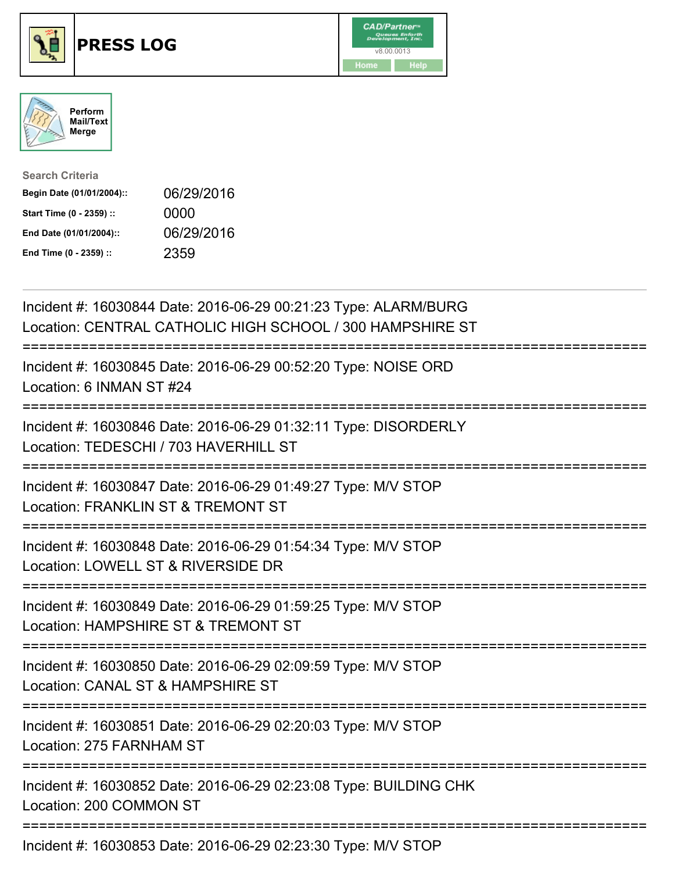





| <b>Search Criteria</b>    |            |
|---------------------------|------------|
| Begin Date (01/01/2004):: | 06/29/2016 |
| Start Time (0 - 2359) ::  | 0000       |
| End Date (01/01/2004)::   | 06/29/2016 |
| End Time (0 - 2359) ::    | 2359       |

| Incident #: 16030844 Date: 2016-06-29 00:21:23 Type: ALARM/BURG<br>Location: CENTRAL CATHOLIC HIGH SCHOOL / 300 HAMPSHIRE ST        |
|-------------------------------------------------------------------------------------------------------------------------------------|
| Incident #: 16030845 Date: 2016-06-29 00:52:20 Type: NOISE ORD<br>Location: 6 INMAN ST #24                                          |
| Incident #: 16030846 Date: 2016-06-29 01:32:11 Type: DISORDERLY<br>Location: TEDESCHI / 703 HAVERHILL ST                            |
| Incident #: 16030847 Date: 2016-06-29 01:49:27 Type: M/V STOP<br>Location: FRANKLIN ST & TREMONT ST                                 |
| Incident #: 16030848 Date: 2016-06-29 01:54:34 Type: M/V STOP<br>Location: LOWELL ST & RIVERSIDE DR<br>.--------------------------- |
| Incident #: 16030849 Date: 2016-06-29 01:59:25 Type: M/V STOP<br>Location: HAMPSHIRE ST & TREMONT ST                                |
| Incident #: 16030850 Date: 2016-06-29 02:09:59 Type: M/V STOP<br>Location: CANAL ST & HAMPSHIRE ST<br>==========================    |
| Incident #: 16030851 Date: 2016-06-29 02:20:03 Type: M/V STOP<br>Location: 275 FARNHAM ST                                           |
| Incident #: 16030852 Date: 2016-06-29 02:23:08 Type: BUILDING CHK<br>Location: 200 COMMON ST                                        |
| Incident #: 16030853 Date: 2016-06-29 02:23:30 Type: M/V STOP                                                                       |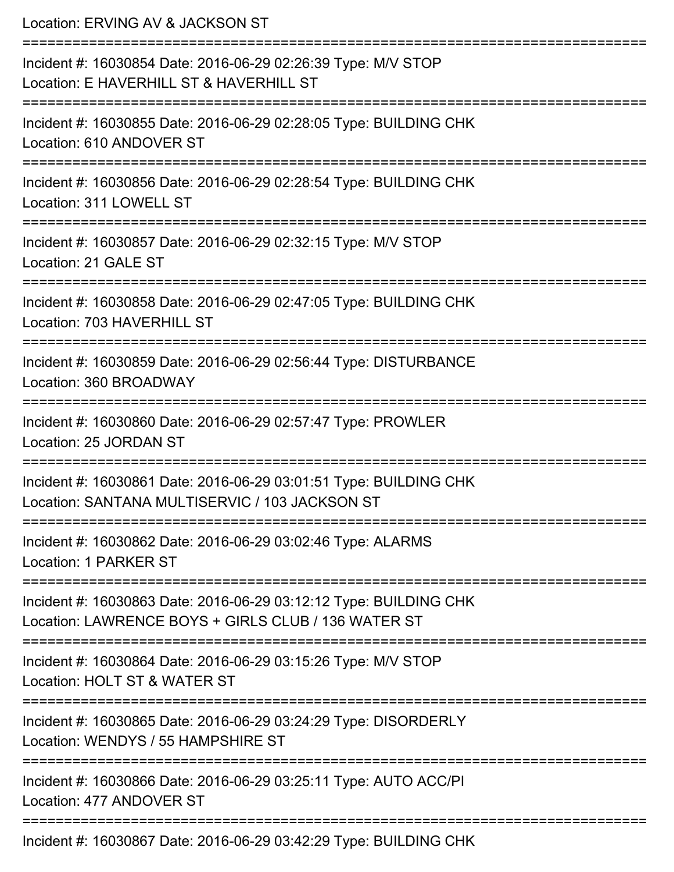| Location: ERVING AV & JACKSON ST                                                                                         |
|--------------------------------------------------------------------------------------------------------------------------|
| Incident #: 16030854 Date: 2016-06-29 02:26:39 Type: M/V STOP<br>Location: E HAVERHILL ST & HAVERHILL ST                 |
| Incident #: 16030855 Date: 2016-06-29 02:28:05 Type: BUILDING CHK<br>Location: 610 ANDOVER ST                            |
| Incident #: 16030856 Date: 2016-06-29 02:28:54 Type: BUILDING CHK<br>Location: 311 LOWELL ST                             |
| Incident #: 16030857 Date: 2016-06-29 02:32:15 Type: M/V STOP<br>Location: 21 GALE ST                                    |
| Incident #: 16030858 Date: 2016-06-29 02:47:05 Type: BUILDING CHK<br>Location: 703 HAVERHILL ST                          |
| Incident #: 16030859 Date: 2016-06-29 02:56:44 Type: DISTURBANCE<br>Location: 360 BROADWAY                               |
| Incident #: 16030860 Date: 2016-06-29 02:57:47 Type: PROWLER<br>Location: 25 JORDAN ST                                   |
| Incident #: 16030861 Date: 2016-06-29 03:01:51 Type: BUILDING CHK<br>Location: SANTANA MULTISERVIC / 103 JACKSON ST      |
| Incident #: 16030862 Date: 2016-06-29 03:02:46 Type: ALARMS<br>Location: 1 PARKER ST                                     |
| Incident #: 16030863 Date: 2016-06-29 03:12:12 Type: BUILDING CHK<br>Location: LAWRENCE BOYS + GIRLS CLUB / 136 WATER ST |
| Incident #: 16030864 Date: 2016-06-29 03:15:26 Type: M/V STOP<br>Location: HOLT ST & WATER ST                            |
| Incident #: 16030865 Date: 2016-06-29 03:24:29 Type: DISORDERLY<br>Location: WENDYS / 55 HAMPSHIRE ST                    |
| Incident #: 16030866 Date: 2016-06-29 03:25:11 Type: AUTO ACC/PI<br>Location: 477 ANDOVER ST                             |
| Incident #: 16030867 Date: 2016-06-29 03:42:29 Type: BUILDING CHK                                                        |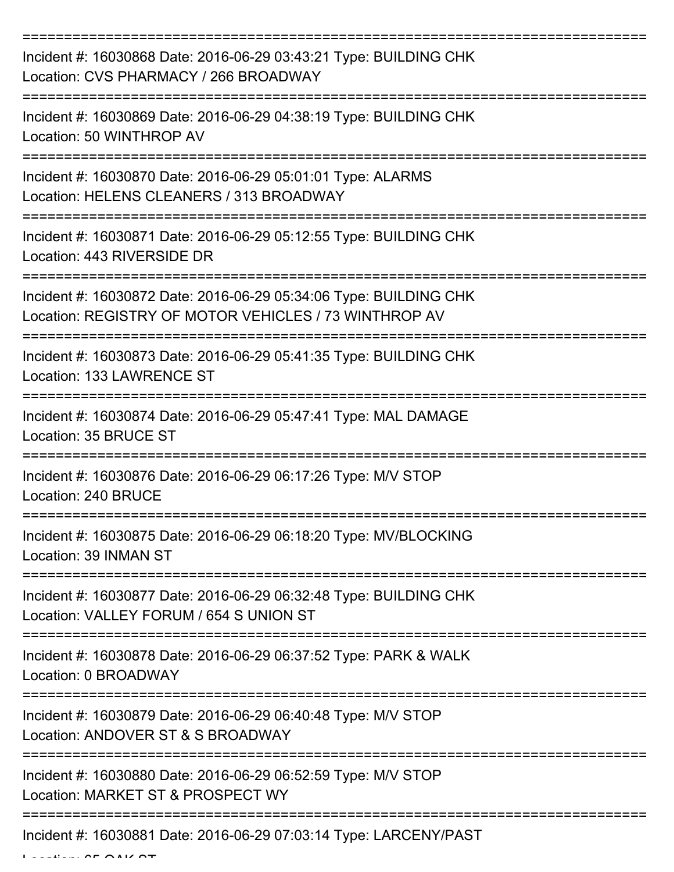| Incident #: 16030868 Date: 2016-06-29 03:43:21 Type: BUILDING CHK<br>Location: CVS PHARMACY / 266 BROADWAY                 |
|----------------------------------------------------------------------------------------------------------------------------|
| Incident #: 16030869 Date: 2016-06-29 04:38:19 Type: BUILDING CHK<br>Location: 50 WINTHROP AV                              |
| Incident #: 16030870 Date: 2016-06-29 05:01:01 Type: ALARMS<br>Location: HELENS CLEANERS / 313 BROADWAY                    |
| Incident #: 16030871 Date: 2016-06-29 05:12:55 Type: BUILDING CHK<br>Location: 443 RIVERSIDE DR                            |
| Incident #: 16030872 Date: 2016-06-29 05:34:06 Type: BUILDING CHK<br>Location: REGISTRY OF MOTOR VEHICLES / 73 WINTHROP AV |
| Incident #: 16030873 Date: 2016-06-29 05:41:35 Type: BUILDING CHK<br>Location: 133 LAWRENCE ST                             |
| Incident #: 16030874 Date: 2016-06-29 05:47:41 Type: MAL DAMAGE<br>Location: 35 BRUCE ST                                   |
| Incident #: 16030876 Date: 2016-06-29 06:17:26 Type: M/V STOP<br>Location: 240 BRUCE                                       |
| Incident #: 16030875 Date: 2016-06-29 06:18:20 Type: MV/BLOCKING<br>Location: 39 INMAN ST                                  |
| Incident #: 16030877 Date: 2016-06-29 06:32:48 Type: BUILDING CHK<br>Location: VALLEY FORUM / 654 S UNION ST               |
| Incident #: 16030878 Date: 2016-06-29 06:37:52 Type: PARK & WALK<br>Location: 0 BROADWAY                                   |
| ====================<br>Incident #: 16030879 Date: 2016-06-29 06:40:48 Type: M/V STOP<br>Location: ANDOVER ST & S BROADWAY |
| Incident #: 16030880 Date: 2016-06-29 06:52:59 Type: M/V STOP<br>Location: MARKET ST & PROSPECT WY                         |
| Incident #: 16030881 Date: 2016-06-29 07:03:14 Type: LARCENY/PAST                                                          |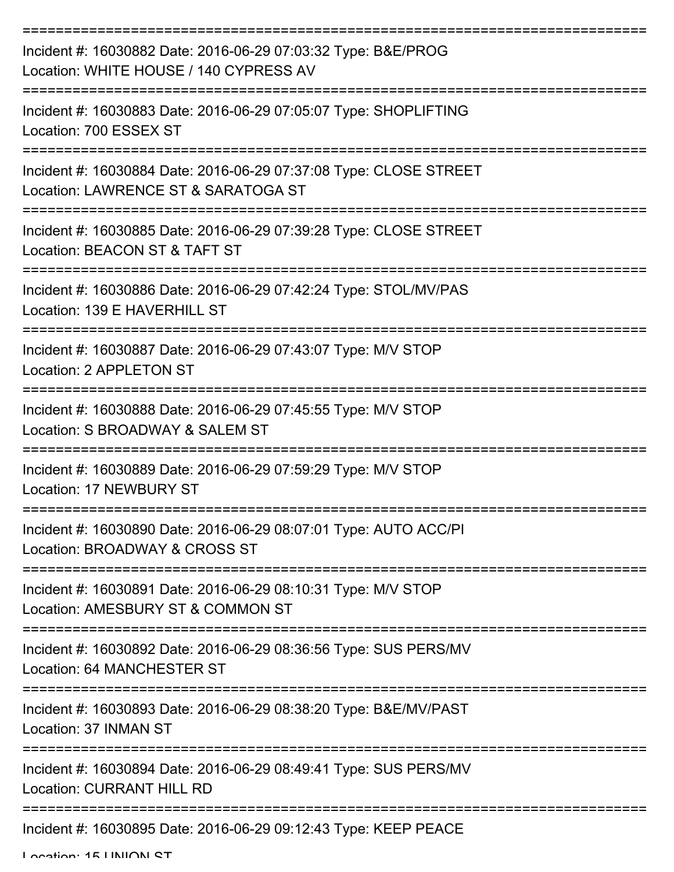| Incident #: 16030882 Date: 2016-06-29 07:03:32 Type: B&E/PROG<br>Location: WHITE HOUSE / 140 CYPRESS AV                            |
|------------------------------------------------------------------------------------------------------------------------------------|
| Incident #: 16030883 Date: 2016-06-29 07:05:07 Type: SHOPLIFTING<br>Location: 700 ESSEX ST                                         |
| Incident #: 16030884 Date: 2016-06-29 07:37:08 Type: CLOSE STREET<br>Location: LAWRENCE ST & SARATOGA ST                           |
| Incident #: 16030885 Date: 2016-06-29 07:39:28 Type: CLOSE STREET<br>Location: BEACON ST & TAFT ST                                 |
| Incident #: 16030886 Date: 2016-06-29 07:42:24 Type: STOL/MV/PAS<br>Location: 139 E HAVERHILL ST                                   |
| Incident #: 16030887 Date: 2016-06-29 07:43:07 Type: M/V STOP<br>Location: 2 APPLETON ST                                           |
| Incident #: 16030888 Date: 2016-06-29 07:45:55 Type: M/V STOP<br>Location: S BROADWAY & SALEM ST                                   |
| Incident #: 16030889 Date: 2016-06-29 07:59:29 Type: M/V STOP<br><b>Location: 17 NEWBURY ST</b>                                    |
| Incident #: 16030890 Date: 2016-06-29 08:07:01 Type: AUTO ACC/PI<br>Location: BROADWAY & CROSS ST                                  |
| Incident #: 16030891 Date: 2016-06-29 08:10:31 Type: M/V STOP<br>Location: AMESBURY ST & COMMON ST                                 |
| Incident #: 16030892 Date: 2016-06-29 08:36:56 Type: SUS PERS/MV<br>Location: 64 MANCHESTER ST                                     |
| :====================================<br>Incident #: 16030893 Date: 2016-06-29 08:38:20 Type: B&E/MV/PAST<br>Location: 37 INMAN ST |
| Incident #: 16030894 Date: 2016-06-29 08:49:41 Type: SUS PERS/MV<br><b>Location: CURRANT HILL RD</b>                               |
| Incident #: 16030895 Date: 2016-06-29 09:12:43 Type: KEEP PEACE                                                                    |

Location: 15 UNION ST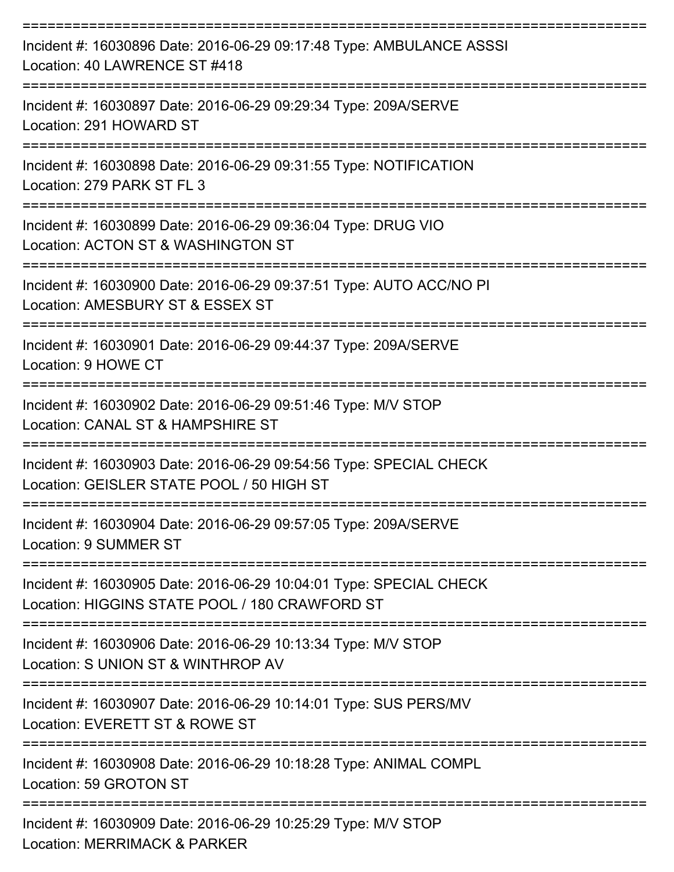| Incident #: 16030896 Date: 2016-06-29 09:17:48 Type: AMBULANCE ASSSI<br>Location: 40 LAWRENCE ST #418                |
|----------------------------------------------------------------------------------------------------------------------|
| Incident #: 16030897 Date: 2016-06-29 09:29:34 Type: 209A/SERVE<br>Location: 291 HOWARD ST                           |
| Incident #: 16030898 Date: 2016-06-29 09:31:55 Type: NOTIFICATION<br>Location: 279 PARK ST FL 3                      |
| Incident #: 16030899 Date: 2016-06-29 09:36:04 Type: DRUG VIO<br>Location: ACTON ST & WASHINGTON ST                  |
| Incident #: 16030900 Date: 2016-06-29 09:37:51 Type: AUTO ACC/NO PI<br>Location: AMESBURY ST & ESSEX ST              |
| Incident #: 16030901 Date: 2016-06-29 09:44:37 Type: 209A/SERVE<br>Location: 9 HOWE CT                               |
| Incident #: 16030902 Date: 2016-06-29 09:51:46 Type: M/V STOP<br>Location: CANAL ST & HAMPSHIRE ST                   |
| Incident #: 16030903 Date: 2016-06-29 09:54:56 Type: SPECIAL CHECK<br>Location: GEISLER STATE POOL / 50 HIGH ST      |
| Incident #: 16030904 Date: 2016-06-29 09:57:05 Type: 209A/SERVE<br><b>Location: 9 SUMMER ST</b>                      |
| Incident #: 16030905 Date: 2016-06-29 10:04:01 Type: SPECIAL CHECK<br>Location: HIGGINS STATE POOL / 180 CRAWFORD ST |
| Incident #: 16030906 Date: 2016-06-29 10:13:34 Type: M/V STOP<br>Location: S UNION ST & WINTHROP AV                  |
| Incident #: 16030907 Date: 2016-06-29 10:14:01 Type: SUS PERS/MV<br>Location: EVERETT ST & ROWE ST                   |
| Incident #: 16030908 Date: 2016-06-29 10:18:28 Type: ANIMAL COMPL<br>Location: 59 GROTON ST                          |
| Incident #: 16030909 Date: 2016-06-29 10:25:29 Type: M/V STOP<br>Location: MERRIMACK & PARKER                        |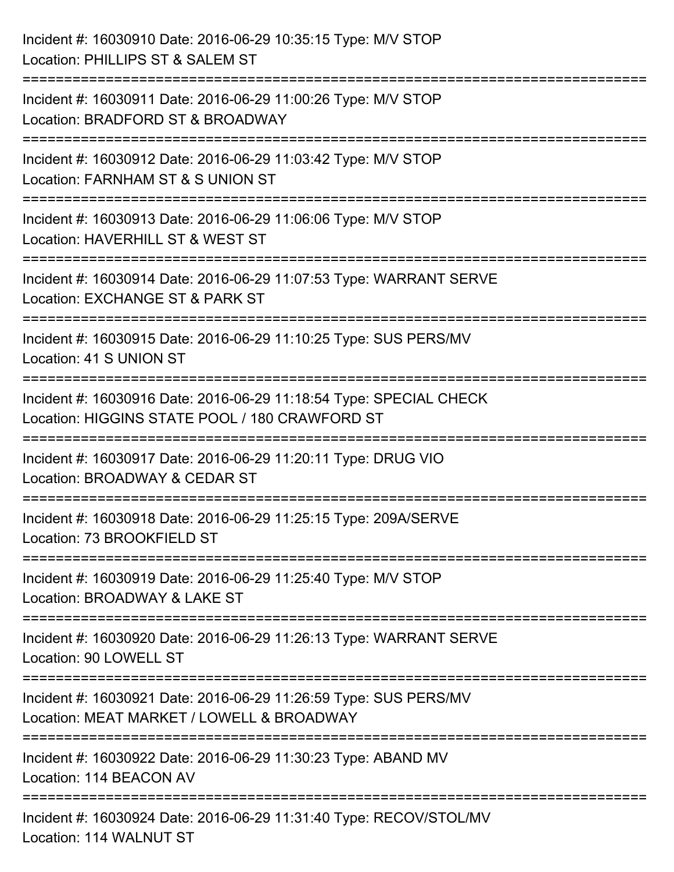| Incident #: 16030910 Date: 2016-06-29 10:35:15 Type: M/V STOP<br>Location: PHILLIPS ST & SALEM ST                           |
|-----------------------------------------------------------------------------------------------------------------------------|
| Incident #: 16030911 Date: 2016-06-29 11:00:26 Type: M/V STOP<br>Location: BRADFORD ST & BROADWAY                           |
| Incident #: 16030912 Date: 2016-06-29 11:03:42 Type: M/V STOP<br>Location: FARNHAM ST & S UNION ST<br>===================== |
| Incident #: 16030913 Date: 2016-06-29 11:06:06 Type: M/V STOP<br>Location: HAVERHILL ST & WEST ST                           |
| Incident #: 16030914 Date: 2016-06-29 11:07:53 Type: WARRANT SERVE<br>Location: EXCHANGE ST & PARK ST                       |
| Incident #: 16030915 Date: 2016-06-29 11:10:25 Type: SUS PERS/MV<br>Location: 41 S UNION ST                                 |
| Incident #: 16030916 Date: 2016-06-29 11:18:54 Type: SPECIAL CHECK<br>Location: HIGGINS STATE POOL / 180 CRAWFORD ST        |
| Incident #: 16030917 Date: 2016-06-29 11:20:11 Type: DRUG VIO<br>Location: BROADWAY & CEDAR ST                              |
| Incident #: 16030918 Date: 2016-06-29 11:25:15 Type: 209A/SERVE<br>Location: 73 BROOKFIELD ST                               |
| Incident #: 16030919 Date: 2016-06-29 11:25:40 Type: M/V STOP<br>Location: BROADWAY & LAKE ST                               |
| Incident #: 16030920 Date: 2016-06-29 11:26:13 Type: WARRANT SERVE<br>Location: 90 LOWELL ST                                |
| Incident #: 16030921 Date: 2016-06-29 11:26:59 Type: SUS PERS/MV<br>Location: MEAT MARKET / LOWELL & BROADWAY               |
| Incident #: 16030922 Date: 2016-06-29 11:30:23 Type: ABAND MV<br>Location: 114 BEACON AV                                    |
| Incident #: 16030924 Date: 2016-06-29 11:31:40 Type: RECOV/STOL/MV<br>Location: 114 WALNUT ST                               |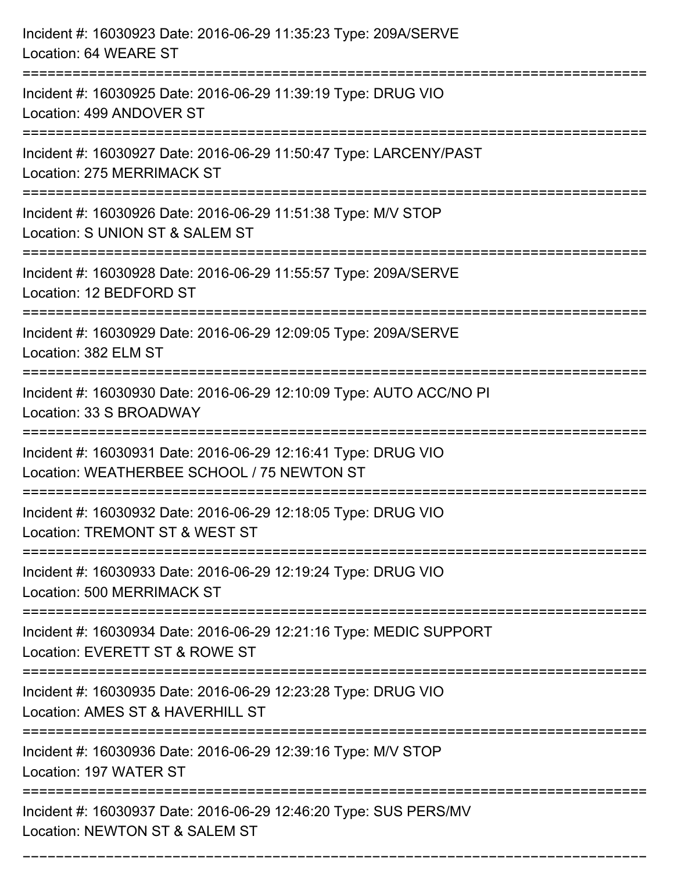| Incident #: 16030923 Date: 2016-06-29 11:35:23 Type: 209A/SERVE<br>Location: 64 WEARE ST                                |
|-------------------------------------------------------------------------------------------------------------------------|
| Incident #: 16030925 Date: 2016-06-29 11:39:19 Type: DRUG VIO<br>Location: 499 ANDOVER ST                               |
| Incident #: 16030927 Date: 2016-06-29 11:50:47 Type: LARCENY/PAST<br>Location: 275 MERRIMACK ST                         |
| Incident #: 16030926 Date: 2016-06-29 11:51:38 Type: M/V STOP<br>Location: S UNION ST & SALEM ST                        |
| Incident #: 16030928 Date: 2016-06-29 11:55:57 Type: 209A/SERVE<br>Location: 12 BEDFORD ST                              |
| Incident #: 16030929 Date: 2016-06-29 12:09:05 Type: 209A/SERVE<br>Location: 382 ELM ST                                 |
| Incident #: 16030930 Date: 2016-06-29 12:10:09 Type: AUTO ACC/NO PI<br>Location: 33 S BROADWAY<br>===================== |
| Incident #: 16030931 Date: 2016-06-29 12:16:41 Type: DRUG VIO<br>Location: WEATHERBEE SCHOOL / 75 NEWTON ST             |
| Incident #: 16030932 Date: 2016-06-29 12:18:05 Type: DRUG VIO<br>Location: TREMONT ST & WEST ST                         |
| Incident #: 16030933 Date: 2016-06-29 12:19:24 Type: DRUG VIO<br>Location: 500 MERRIMACK ST                             |
| Incident #: 16030934 Date: 2016-06-29 12:21:16 Type: MEDIC SUPPORT<br>Location: EVERETT ST & ROWE ST                    |
| Incident #: 16030935 Date: 2016-06-29 12:23:28 Type: DRUG VIO<br>Location: AMES ST & HAVERHILL ST                       |
| Incident #: 16030936 Date: 2016-06-29 12:39:16 Type: M/V STOP<br>Location: 197 WATER ST                                 |
| Incident #: 16030937 Date: 2016-06-29 12:46:20 Type: SUS PERS/MV<br>Location: NEWTON ST & SALEM ST                      |

===========================================================================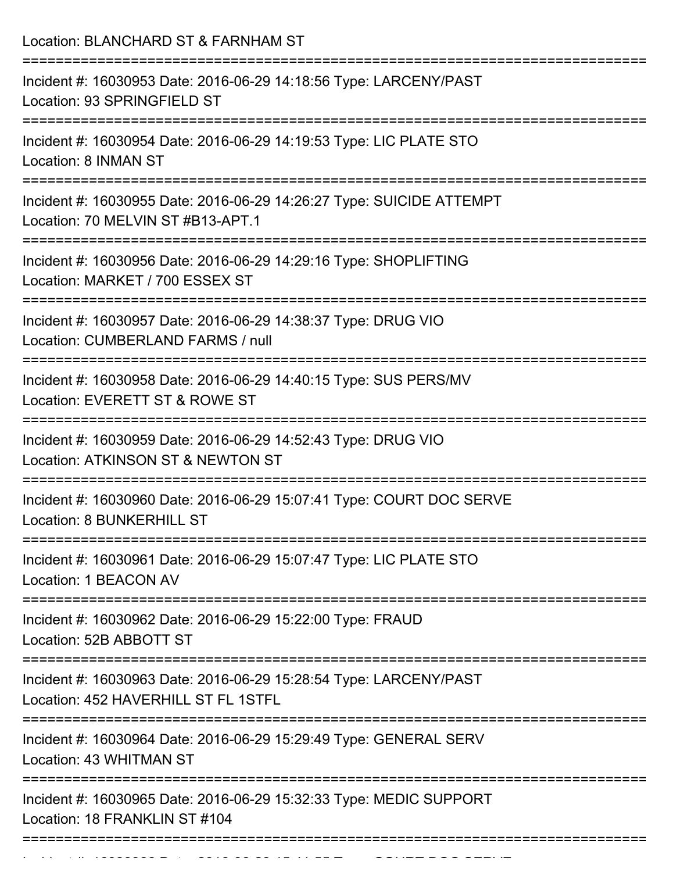| Location: BLANCHARD ST & FARNHAM ST                                                                                                 |
|-------------------------------------------------------------------------------------------------------------------------------------|
| Incident #: 16030953 Date: 2016-06-29 14:18:56 Type: LARCENY/PAST<br>Location: 93 SPRINGFIELD ST                                    |
| Incident #: 16030954 Date: 2016-06-29 14:19:53 Type: LIC PLATE STO<br>Location: 8 INMAN ST                                          |
| Incident #: 16030955 Date: 2016-06-29 14:26:27 Type: SUICIDE ATTEMPT<br>Location: 70 MELVIN ST #B13-APT.1                           |
| Incident #: 16030956 Date: 2016-06-29 14:29:16 Type: SHOPLIFTING<br>Location: MARKET / 700 ESSEX ST                                 |
| Incident #: 16030957 Date: 2016-06-29 14:38:37 Type: DRUG VIO<br>Location: CUMBERLAND FARMS / null<br>============================= |
| Incident #: 16030958 Date: 2016-06-29 14:40:15 Type: SUS PERS/MV<br>Location: EVERETT ST & ROWE ST                                  |
| Incident #: 16030959 Date: 2016-06-29 14:52:43 Type: DRUG VIO<br>Location: ATKINSON ST & NEWTON ST                                  |
| Incident #: 16030960 Date: 2016-06-29 15:07:41 Type: COURT DOC SERVE<br>Location: 8 BUNKERHILL ST                                   |
| Incident #: 16030961 Date: 2016-06-29 15:07:47 Type: LIC PLATE STO<br>Location: 1 BEACON AV                                         |
| Incident #: 16030962 Date: 2016-06-29 15:22:00 Type: FRAUD<br>Location: 52B ABBOTT ST                                               |
| Incident #: 16030963 Date: 2016-06-29 15:28:54 Type: LARCENY/PAST<br>Location: 452 HAVERHILL ST FL 1STFL                            |
| Incident #: 16030964 Date: 2016-06-29 15:29:49 Type: GENERAL SERV<br>Location: 43 WHITMAN ST                                        |
| Incident #: 16030965 Date: 2016-06-29 15:32:33 Type: MEDIC SUPPORT<br>Location: 18 FRANKLIN ST #104                                 |
|                                                                                                                                     |

Incident #: 16030966 Date: 2016 06 29 15:41:55 Type: 2016 06 29 15:41:55 Type: COURT DOC SERVE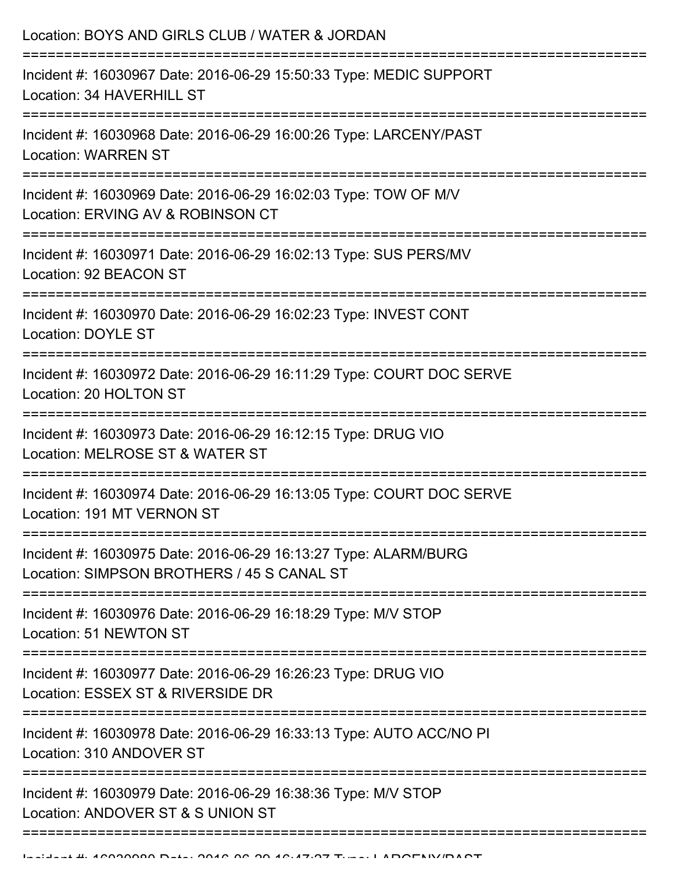| Location: BOYS AND GIRLS CLUB / WATER & JORDAN<br>===========================                                                      |
|------------------------------------------------------------------------------------------------------------------------------------|
| Incident #: 16030967 Date: 2016-06-29 15:50:33 Type: MEDIC SUPPORT<br>Location: 34 HAVERHILL ST                                    |
| Incident #: 16030968 Date: 2016-06-29 16:00:26 Type: LARCENY/PAST<br><b>Location: WARREN ST</b><br>=============================== |
| Incident #: 16030969 Date: 2016-06-29 16:02:03 Type: TOW OF M/V<br>Location: ERVING AV & ROBINSON CT<br>:222222222222222222        |
| Incident #: 16030971 Date: 2016-06-29 16:02:13 Type: SUS PERS/MV<br>Location: 92 BEACON ST                                         |
| Incident #: 16030970 Date: 2016-06-29 16:02:23 Type: INVEST CONT<br><b>Location: DOYLE ST</b>                                      |
| Incident #: 16030972 Date: 2016-06-29 16:11:29 Type: COURT DOC SERVE<br>Location: 20 HOLTON ST                                     |
| Incident #: 16030973 Date: 2016-06-29 16:12:15 Type: DRUG VIO<br>Location: MELROSE ST & WATER ST                                   |
| ----------------------------<br>Incident #: 16030974 Date: 2016-06-29 16:13:05 Type: COURT DOC SERVE<br>Location: 191 MT VERNON ST |
| Incident #: 16030975 Date: 2016-06-29 16:13:27 Type: ALARM/BURG<br>Location: SIMPSON BROTHERS / 45 S CANAL ST                      |
| Incident #: 16030976 Date: 2016-06-29 16:18:29 Type: M/V STOP<br>Location: 51 NEWTON ST                                            |
| Incident #: 16030977 Date: 2016-06-29 16:26:23 Type: DRUG VIO<br>Location: ESSEX ST & RIVERSIDE DR                                 |
| Incident #: 16030978 Date: 2016-06-29 16:33:13 Type: AUTO ACC/NO PI<br>Location: 310 ANDOVER ST                                    |
| Incident #: 16030979 Date: 2016-06-29 16:38:36 Type: M/V STOP<br>Location: ANDOVER ST & S UNION ST                                 |
|                                                                                                                                    |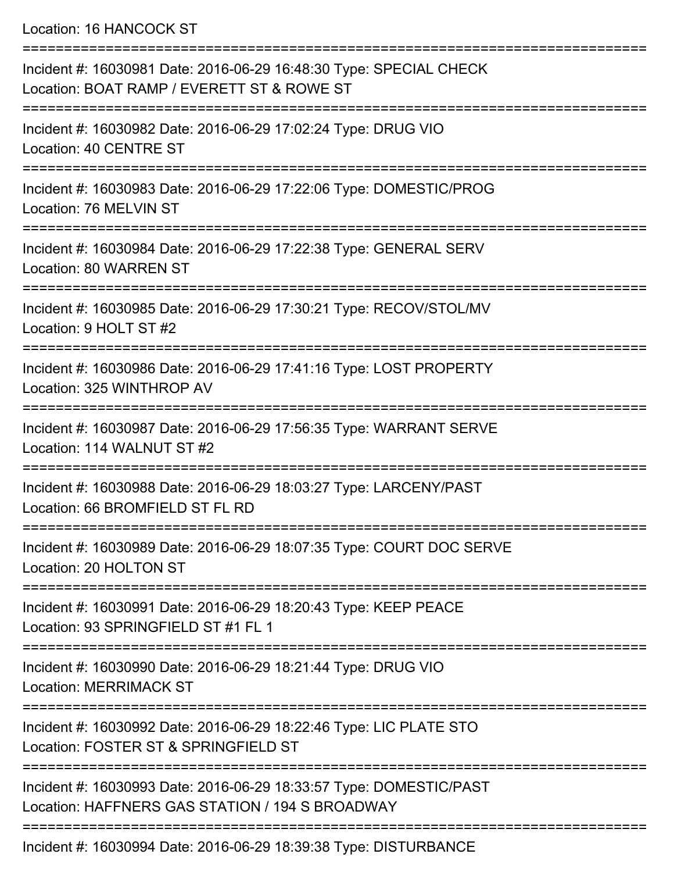Location: 16 HANCOCK ST

| Incident #: 16030981 Date: 2016-06-29 16:48:30 Type: SPECIAL CHECK<br>Location: BOAT RAMP / EVERETT ST & ROWE ST      |
|-----------------------------------------------------------------------------------------------------------------------|
| Incident #: 16030982 Date: 2016-06-29 17:02:24 Type: DRUG VIO<br>Location: 40 CENTRE ST                               |
| Incident #: 16030983 Date: 2016-06-29 17:22:06 Type: DOMESTIC/PROG<br>Location: 76 MELVIN ST                          |
| Incident #: 16030984 Date: 2016-06-29 17:22:38 Type: GENERAL SERV<br>Location: 80 WARREN ST                           |
| Incident #: 16030985 Date: 2016-06-29 17:30:21 Type: RECOV/STOL/MV<br>Location: 9 HOLT ST #2                          |
| Incident #: 16030986 Date: 2016-06-29 17:41:16 Type: LOST PROPERTY<br>Location: 325 WINTHROP AV                       |
| Incident #: 16030987 Date: 2016-06-29 17:56:35 Type: WARRANT SERVE<br>Location: 114 WALNUT ST #2                      |
| Incident #: 16030988 Date: 2016-06-29 18:03:27 Type: LARCENY/PAST<br>Location: 66 BROMFIELD ST FL RD                  |
| Incident #: 16030989 Date: 2016-06-29 18:07:35 Type: COURT DOC SERVE<br>Location: 20 HOLTON ST                        |
| Incident #: 16030991 Date: 2016-06-29 18:20:43 Type: KEEP PEACE<br>Location: 93 SPRINGFIELD ST #1 FL 1                |
| Incident #: 16030990 Date: 2016-06-29 18:21:44 Type: DRUG VIO<br><b>Location: MERRIMACK ST</b>                        |
| Incident #: 16030992 Date: 2016-06-29 18:22:46 Type: LIC PLATE STO<br>Location: FOSTER ST & SPRINGFIELD ST            |
| Incident #: 16030993 Date: 2016-06-29 18:33:57 Type: DOMESTIC/PAST<br>Location: HAFFNERS GAS STATION / 194 S BROADWAY |
| Looident #: 16020001 Deta: 2016 06:20:10:20:20 Tupe: DISTURBANCE                                                      |

Incident #: 16030994 Date: 2016-06-29 18:39:38 Type: DISTURBANCE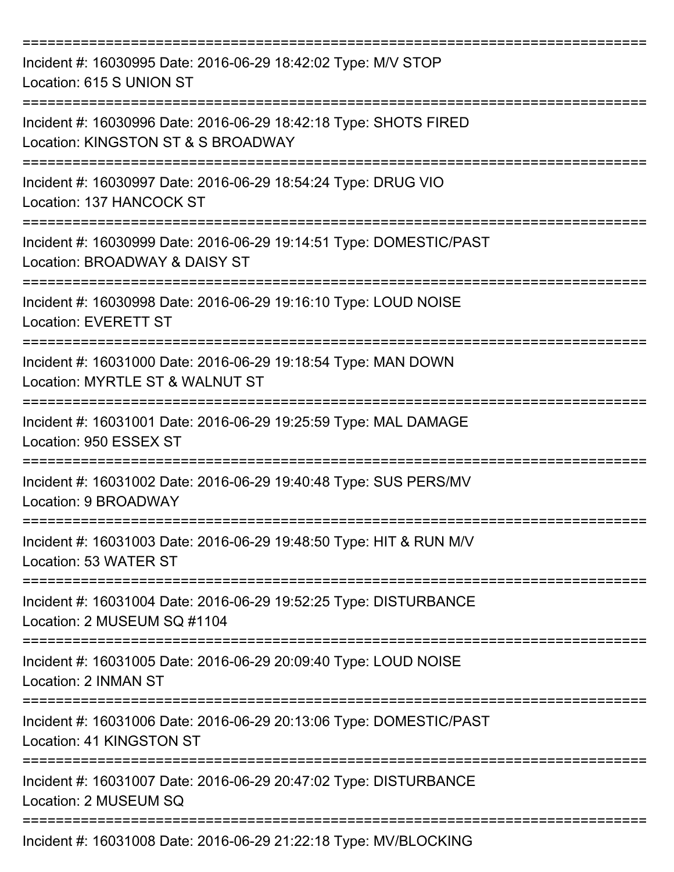| Incident #: 16030995 Date: 2016-06-29 18:42:02 Type: M/V STOP<br>Location: 615 S UNION ST              |
|--------------------------------------------------------------------------------------------------------|
| Incident #: 16030996 Date: 2016-06-29 18:42:18 Type: SHOTS FIRED<br>Location: KINGSTON ST & S BROADWAY |
| Incident #: 16030997 Date: 2016-06-29 18:54:24 Type: DRUG VIO<br>Location: 137 HANCOCK ST              |
| Incident #: 16030999 Date: 2016-06-29 19:14:51 Type: DOMESTIC/PAST<br>Location: BROADWAY & DAISY ST    |
| Incident #: 16030998 Date: 2016-06-29 19:16:10 Type: LOUD NOISE<br><b>Location: EVERETT ST</b>         |
| Incident #: 16031000 Date: 2016-06-29 19:18:54 Type: MAN DOWN<br>Location: MYRTLE ST & WALNUT ST       |
| Incident #: 16031001 Date: 2016-06-29 19:25:59 Type: MAL DAMAGE<br>Location: 950 ESSEX ST              |
| Incident #: 16031002 Date: 2016-06-29 19:40:48 Type: SUS PERS/MV<br>Location: 9 BROADWAY               |
| Incident #: 16031003 Date: 2016-06-29 19:48:50 Type: HIT & RUN M/V<br>Location: 53 WATER ST            |
| Incident #: 16031004 Date: 2016-06-29 19:52:25 Type: DISTURBANCE<br>Location: 2 MUSEUM SQ #1104        |
| Incident #: 16031005 Date: 2016-06-29 20:09:40 Type: LOUD NOISE<br>Location: 2 INMAN ST                |
| Incident #: 16031006 Date: 2016-06-29 20:13:06 Type: DOMESTIC/PAST<br>Location: 41 KINGSTON ST         |
| Incident #: 16031007 Date: 2016-06-29 20:47:02 Type: DISTURBANCE<br>Location: 2 MUSEUM SQ              |
| Incident #: 16031008 Date: 2016-06-29 21:22:18 Type: MV/BLOCKING                                       |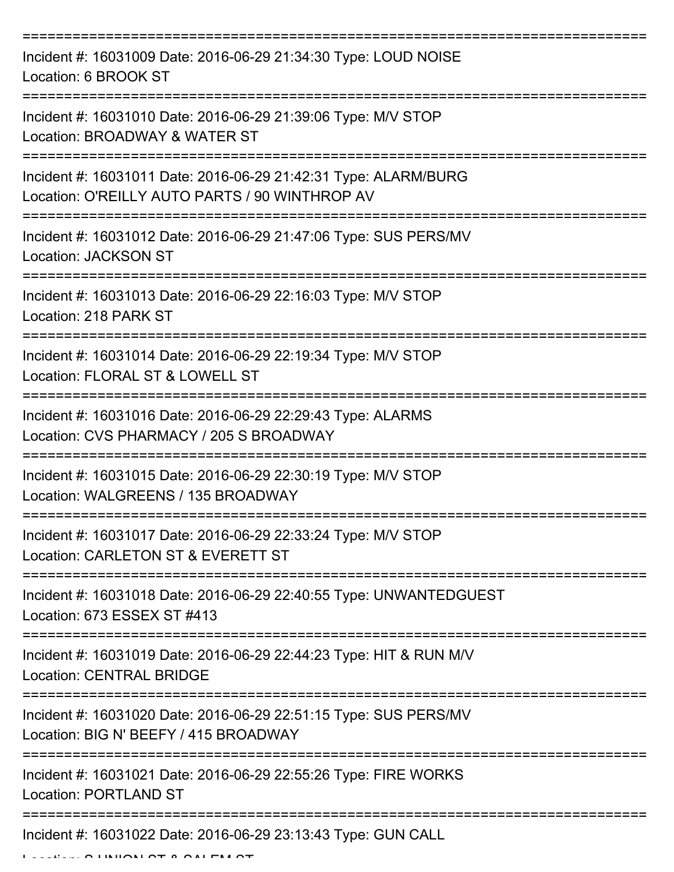| Incident #: 16031009 Date: 2016-06-29 21:34:30 Type: LOUD NOISE<br>Location: 6 BROOK ST                           |
|-------------------------------------------------------------------------------------------------------------------|
| Incident #: 16031010 Date: 2016-06-29 21:39:06 Type: M/V STOP<br>Location: BROADWAY & WATER ST                    |
| Incident #: 16031011 Date: 2016-06-29 21:42:31 Type: ALARM/BURG<br>Location: O'REILLY AUTO PARTS / 90 WINTHROP AV |
| Incident #: 16031012 Date: 2016-06-29 21:47:06 Type: SUS PERS/MV<br>Location: JACKSON ST                          |
| Incident #: 16031013 Date: 2016-06-29 22:16:03 Type: M/V STOP<br>Location: 218 PARK ST<br>---------------------   |
| Incident #: 16031014 Date: 2016-06-29 22:19:34 Type: M/V STOP<br>Location: FLORAL ST & LOWELL ST                  |
| Incident #: 16031016 Date: 2016-06-29 22:29:43 Type: ALARMS<br>Location: CVS PHARMACY / 205 S BROADWAY            |
| Incident #: 16031015 Date: 2016-06-29 22:30:19 Type: M/V STOP<br>Location: WALGREENS / 135 BROADWAY               |
| Incident #: 16031017 Date: 2016-06-29 22:33:24 Type: M/V STOP<br>Location: CARLETON ST & EVERETT ST               |
| Incident #: 16031018 Date: 2016-06-29 22:40:55 Type: UNWANTEDGUEST<br>Location: 673 ESSEX ST #413                 |
| Incident #: 16031019 Date: 2016-06-29 22:44:23 Type: HIT & RUN M/V<br><b>Location: CENTRAL BRIDGE</b>             |
| Incident #: 16031020 Date: 2016-06-29 22:51:15 Type: SUS PERS/MV<br>Location: BIG N' BEEFY / 415 BROADWAY         |
| Incident #: 16031021 Date: 2016-06-29 22:55:26 Type: FIRE WORKS<br><b>Location: PORTLAND ST</b>                   |
| Incident #: 16031022 Date: 2016-06-29 23:13:43 Type: GUN CALL                                                     |